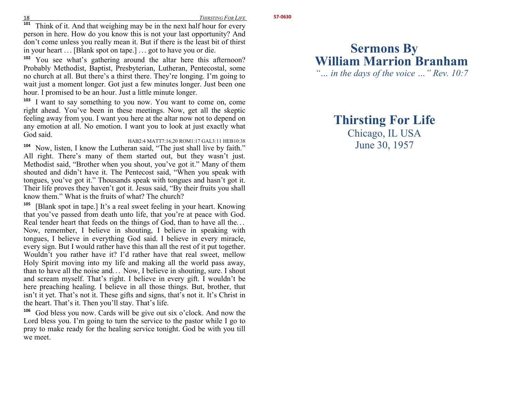**57-0630** 

 **101** $\frac{1}{1}$  Think of it. And that weighing may be in the next half hour for every person in here. How do you know this is not your last opportunity? And don't come unless you really mean it. But if there is the least bit of thirst in your heart . . . [Blank spot on tape.] . . . got to have you or die.

**102** You see what's gathering around the altar here this afternoon? Probably Methodist, Baptist, Presbyterian, Lutheran, Pentecostal, some no church at all. But there's a thirst there. They're longing. I'm going to wait just a moment longer. Got just a few minutes longer. Just been one hour. I promised to be an hour. Just a little minute longer.

**103** I want to say something to you now. You want to come on, come right ahead. You've been in these meetings. Now, get all the skeptic feeling away from you. I want you here at the altar now not to depend on any emotion at all. No emotion. I want you to look at just exactly what God said.

HAB2:4 MATT7:16,20 ROM1:17 GAL3:11 HEB10:38 <sup>4</sup> Now, listen, I know the Lutheran said, "The just shall live by faith." **104** All right. There's many of them started out, but they wasn't just. Methodist said, "Brother when you shout, you've got it." Many of them shouted and didn't have it. The Pentecost said, "When you speak with tongues, you've got it." Thousands speak with tongues and hasn't got it. Their life proves they haven't got it. Jesus said, "By their fruits you shall know them." What is the fruits of what? The church?

<sup>5</sup> [Blank spot in tape.] It's a real sweet feeling in your heart. Knowing **105** that you've passed from death unto life, that you're at peace with God. Real tender heart that feeds on the things of God, than to have all the...<br>Now, remember I believe in shouting I believe in speaking with Now, remember, I believe in shouting, I believe in speaking with tongues, I believe in everything God said. I believe in every miracle, every sign. But I would rather have this than all the rest of it put together. Wouldn't you rather have it? I'd rather have that real sweet, mellow Holy Spirit moving into my life and making all the world pass away, than to have all the noise and... Now, I believe in shouting, sure. I shout<br>and seron myself. That's right. I believe in every gift. I wouldn't be and scream myself. That's right. I believe in every gift. I wouldn't be here preaching healing. I believe in all those things. But, brother, that isn't it yet. That's not it. These gifts and signs, that's not it. It's Christ in the heart. That's it. Then you'll stay. That's life.

**106** God bless you now. Cards will be give out six o'clock. And now the Lord bless you. I'm going to turn the service to the pastor while I go to pray to make ready for the healing service tonight. God be with you till we meet.

# **Sermons By William Marrion Branham**

*"… in the days of the voice …" Rev. 10:7* 

## **Thirsting For Life**

Chicago, IL USA June 30, 1957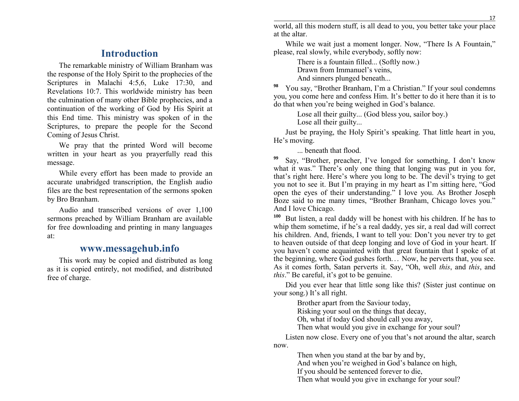## **Introduction**

The remarkable ministry of William Branham was the response of the Holy Spirit to the prophecies of the Scriptures in Malachi 4:5,6, Luke 17:30, and Revelations 10:7. This worldwide ministry has been the culmination of many other Bible prophecies, and a continuation of the working of God by His Spirit at this End time. This ministry was spoken of in the Scriptures, to prepare the people for the Second Coming of Jesus Christ.

We pray that the printed Word will become written in your heart as you prayerfully read this message.

While every effort has been made to provide an accurate unabridged transcription, the English audio files are the best representation of the sermons spoken by Bro Branham.

Audio and transcribed versions of over 1,100 sermons preached by William Branham are available for free downloading and printing in many languagesat:

### **www.messagehub.info**

This work may be copied and distributed as long as it is copied entirely, not modified, and distributed free of charge.

 world, all this modern stuff, is all dead to you, you better take your place at the altar.

While we wait just a moment longer. Now, "There Is A Fountain," please, real slowly, while everybody, softly now:

> There is a fountain filled... (Softly now.) Drawn from Immanuel's veins, And sinners plunged beneath...

**98** You say, "Brother Branham, I'm a Christian." If your soul condemns you, you come here and confess Him. It's better to do it here than it is to do that when you're being weighed in God's balance.

> Lose all their guilty... (God bless you, sailor boy.) Lose all their guilty...

Just be praying, the Holy Spirit's speaking. That little heart in you, He's moving.

... beneath that flood.

**99** Say, "Brother, preacher, I've longed for something, I don't know what it was." There's only one thing that longing was put in you for, that's right here. Here's where you long to be. The devil's trying to get you not to see it. But I'm praying in my heart as I'm sitting here, "God open the eyes of their understanding." I love you. As Brother Joseph Boze said to me many times, "Brother Branham, Chicago loves you." And I love Chicago.

**100** But listen, a real daddy will be honest with his children. If he has to whip them sometime, if he's a real daddy, yes sir, a real dad will correct his children. And, friends, I want to tell you: Don't you never try to get to heaven outside of that deep longing and love of God in your heart. If you haven't come acquainted with that great fountain that I spoke of at the beginning, where God gushes forth... Now, he perverts that, you see.<br>As it comes forth, Satan perverts it, Say, "Ob, well this and this and As it comes forth, Satan perverts it. Say, "Oh, well *this*, and *this*, and *this*." Be careful, it's got to be genuine.

Did you ever hear that little song like this? (Sister just continue on your song.) It's all right.

Brother apart from the Saviour today,

Risking your soul on the things that decay,

Oh, what if today God should call you away,

Then what would you give in exchange for your soul?

 Listen now close. Every one of you that's not around the altar, search now.

> Then when you stand at the bar by and by, And when you're weighed in God's balance on high,

If you should be sentenced forever to die,

Then what would you give in exchange for your soul?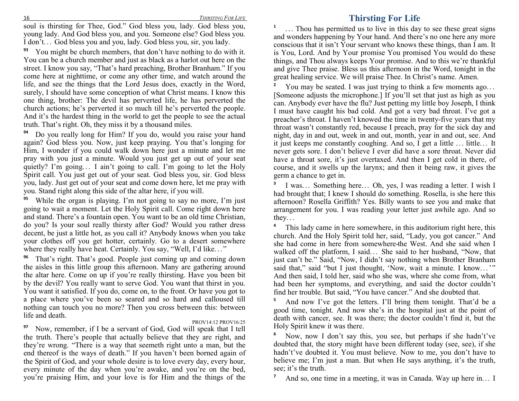soul is thirsting for Thee, God." God bless you, lady. God bless you, young lady. And God bless you, and you. Someone else? God bless you. I don't. . . God bless you and you, lady. God bless you, sir, you lady.

**93** You might be church members, that don't have nothing to do with it. You can be a church member and just as black as a harlot out here on the street. I know you say, "That's hard preaching, Brother Branham." If you come here at nighttime, or come any other time, and watch around the life, and see the things that the Lord Jesus does, exactly in the Word, surely, I should have some conception of what Christ means. I know this one thing, brother: The devil has perverted life, he has perverted the church actions; he's perverted it so much till he's perverted the people. And it's the hardest thing in the world to get the people to see the actual truth. That's right. Oh, they miss it by a thousand miles.

**94** Do you really long for Him? If you do, would you raise your hand again? God bless you. Now, just keep praying. You that's longing for Him, I wonder if you could walk down here just a minute and let me pray with you just a minute. Would you just get up out of your seat quietly? I'm going... I ain't going to call. I'm going to let the Holy<br>Spirit goll. You just get out of your gost. God blogs you gir. God blogs Spirit call. You just get out of your seat. God bless you, sir. God bless you, lady. Just get out of your seat and come down here, let me pray with you. Stand right along this side of the altar here, if you will.

**95** While the organ is playing. I'm not going to say no more, I'm just going to wait a moment. Let the Holy Spirit call. Come right down here and stand. There's a fountain open. You want to be an old time Christian, do you? Is your soul really thirsty after God? Would you rather dress decent, be just a little hot, as you call it? Anybody knows when you take your clothes off you get hotter, certainly. Go to a desert somewhere where they really have heat. Certainly. You say, "Well, I'd like..."

**96** That's right. That's good. People just coming up and coming down the aisles in this little group this afternoon. Many are gathering around the altar here. Come on up if you're really thirsting. Have you been bit by the devil? You really want to serve God. You want that thirst in you. You want it satisfied. If you do, come on, to the front. Or have you got to a place where you've been so seared and so hard and calloused till nothing can touch you no more? Then you cross between this: between life and death.

#### PROV14:12 PROV16:25

**7**

<sup>7</sup> Now, remember, if I be a servant of God, God will speak that I tell **97** the truth. There's people that actually believe that they are right, and they're wrong. "There is a way that seemeth right unto a man, but the end thereof is the ways of death." If you haven't been borned again of the Spirit of God, and your whole desire is to love every day, every hour, every minute of the day when you're awake, and you're on the bed, you're praising Him, and your love is for Him and the things of the

### **Thirsting For Life**

**1**... Thou has permitted us to live in this day to see these great signs and wonders happening by Your hand. And there's no one here any more conscious that it isn't Your servant who knows these things, than I am. It is You, Lord. And by Your promise You promised You would do these things, and Thou always keeps Your promise. And to this we're thankful and give Thee praise. Bless us this afternoon in the Word, tonight in the great healing service. We will praise Thee. In Christ's name. Amen.

**2**You may be seated. I was just trying to think a few moments ago... [Someone adjusts the microphone.] If you'll set that just as high as you can. Anybody ever have the flu? Just petting my little boy Joseph, I think I must have caught his bad cold. And got a very bad throat. I've got a preacher's throat. I haven't knowed the time in twenty-five years that my throat wasn't constantly red, because I preach, pray for the sick day and night, day in and out, week in and out, month, year in and out, see. And it just keeps me constantly coughing. And so, I get a little . . . little.. . It never gets sore. I don't believe I ever did have a sore throat. Never did have a throat sore, it's just overtaxed. And then I get cold in there, of course, and it swells up the larynx; and then it being raw, it gives the germ a chance to get in.

**3**I was... Something here... Oh, yes, I was reading a letter. I wish I had brought that; I knew I should do something. Rosella, is she here this afternoon? Rosella Griffith? Yes. Billy wants to see you and make that arrangement for you. I was reading your letter just awhile ago. And so they...

**4** This lady came in here somewhere, in this auditorium right here, this church. And the Holy Spirit told her, said, "Lady, you got cancer." And she had come in here from somewhere-the West. And she said when I walked off the platform, I said... She said to her husband, "Now, that<br>iust can't be," Said. "Now, I didn't say nothing whap Brother Branham just can't be." Said, "Now, I didn't say nothing when Brother Branham said that," said "but I just thought, 'Now, wait a minute. I know..."<br>And then said I told her said who she was where she come from what And then said, I told her, said who she was, where she come from, what had been her symptoms, and everything, and said the doctor couldn't find her trouble. But said, "You have cancer." And she doubted that.

**5** And now I've got the letters. I'll bring them tonight. That'd be a good time, tonight. And now she's in the hospital just at the point of death with cancer, see. It was there; the doctor couldn't find it, but the Holy Spirit knew it was there.

**6** Now, now I don't say this, you see, but perhaps if she hadn't've doubted that, the story might have been different today (see, see), if she hadn't've doubted it. You must believe. Now to me, you don't have to believe me; I'm just a man. But when He says anything, it's the truth, see; it's the truth.

And so, one time in a meeting, it was in Canada. Way up here in... <sup>I</sup>

16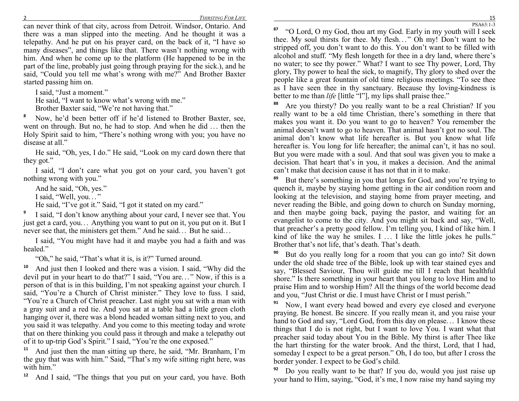can never think of that city, across from Detroit. Windsor, Ontario. And there was a man slipped into the meeting. And he thought it was a telepathy. And he put on his prayer card, on the back of it, "I have so many diseases", and things like that. There wasn't nothing wrong with him. And when he come up to the platform (He happened to be in the part of the line, probably just going through praying for the sick.), and he said, "Could you tell me what's wrong with me?" And Brother Baxter started passing him on.

I said, "Just a moment."

He said, "I want to know what's wrong with me."

Brother Baxter said, "We're not having that."

**8** Now, he'd been better off if he'd listened to Brother Baxter, see, went on through. But no, he had to stop. And when he did ... then the Holy Spirit said to him "There's nothing wrong with you you have no Holy Spirit said to him, "There's nothing wrong with you; you have no disease at all."

He said, "Oh, yes, I do." He said, "Look on my card down there that they got."

I said, "I don't care what you got on your card, you haven't got nothing wrong with you."

And he said, "Oh, yes."

I said, "Well, you..."

He said, "I've got it." Said, "I got it stated on my card."

**9** I said, "I don't know anything about your card, I never see that. You just get a card, you... Anything you want to put on it, you put on it. But I never see that the ministers get them?' And he said. But he said never see that, the ministers get them." And he said... But he said...

I said, "You might have had it and maybe you had a faith and was healed."

"Oh," he said, "That's what it is, is it?" Turned around.

**10** And just then I looked and there was a vision. I said, "Why did the devil put in your heart to do that?" I said, "You are..." Now, if this is a person of that is in this building, I'm not speaking against your church. I said, "You're a Church of Christ minister." They love to fuss. I said, "You're a Church of Christ preacher. Last night you sat with a man with a gray suit and a red tie. And you sat at a table had a little green cloth hanging over it, there was a blond headed woman sitting next to you, and you said it was telepathy. And you come to this meeting today and wrote that on there thinking you could pass it through and make a telepathy out of it to up-trip God's Spirit." I said, "You're the one exposed."

<sup>1</sup> And just then the man sitting up there, he said, "Mr. Branham, I'm **11** the guy that was with him." Said, "That's my wife sitting right here, was with him"

**12**And I said, "The things that you put on your card, you have. Both

 **87** "O Lord, O my God, thou art my God. Early in my youth will I seek thee. My soul thirsts for thee. My flesh..." Oh my! Don't want to be stripped off you don't want to be filled with stripped off, you don't want to do this. You don't want to be filled with alcohol and stuff. "My flesh longeth for thee in a dry land, where there's no water; to see thy power." What? I want to see Thy power, Lord, Thy glory, Thy power to heal the sick, to magnify, Thy glory to shed over the people like a great fountain of old time religious meetings. "To see thee as I have seen thee in thy sanctuary. Because thy loving-kindness is better to me than *life* [little "l"], my lips shall praise thee."

**88** Are you thirsty? Do you really want to be a real Christian? If you really want to be a old time Christian, there's something in there that makes you want it. Do you want to go to heaven? You remember the animal doesn't want to go to heaven. That animal hasn't got no soul. The animal don't know what life hereafter is. But you know what life hereafter is. You long for life hereafter; the animal can't, it has no soul. But you were made with a soul. And that soul was given you to make a decision. That heart that's in you, it makes a decision. And the animal can't make that decision cause it has not that in it to make.

**89** But there's something in you that longs for God, and you're trying to quench it, maybe by staying home getting in the air condition room and looking at the television, and staying home from prayer meeting, and never reading the Bible, and going down to church on Sunday morning, and then maybe going back, paying the pastor, and waiting for an evangelist to come to the city. And you might sit back and say, "Well, that preacher's a pretty good fellow. I'm telling you, I kind of like him. I kind of like the way he smiles.  $I \ldots I$  like the little jokes he pulls."<br>Brother that's not life that's death. That's death Brother that's not life, that's death. That's death.

**90** But do you really long for a room that you can go into? Sit down under the old shade tree of the Bible, look up with tear stained eyes and say, "Blessed Saviour, Thou will guide me till I reach that healthful shore." Is there something in your heart that you long to love Him and to praise Him and to worship Him? All the things of the world become dead and you, "Just Christ or die. I must have Christ or I must perish."

**91** Now, I want every head bowed and every eye closed and everyone praying. Be honest. Be sincere. If you really mean it, and you raise your hand to God and say, "Lord God, from this day on please... I know these things that I do is not right, but I want to love You, I want what that things that I do is not right, but I want to love You. I want what that preacher said today about You in the Bible. My thirst is after Thee like the hart thirsting for the water brook. And the thirst, Lord, that I had, someday I expect to be a great person." Oh, I do too, but after I cross the border yonder. I expect to be God's child.

**92** Do you really want to be that? If you do, would you just raise up your hand to Him, saying, "God, it's me, I now raise my hand saying my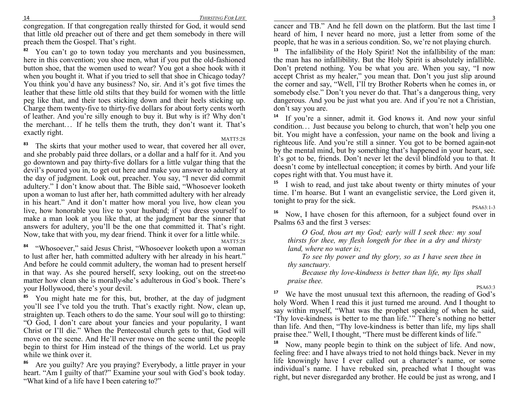congregation. If that congregation really thirsted for God, it would send that little old preacher out of there and get them somebody in there will preach them the Gospel. That's right.

**82** You can't go to town today you merchants and you businessmen, here in this convention; you shoe men, what if you put the old-fashioned button shoe, that the women used to wear? You got a shoe hook with it when you bought it. What if you tried to sell that shoe in Chicago today? You think you'd have any business? No, sir. And it's got five times the leather that these little old stilts that they build for women with the little peg like that, and their toes sticking down and their heels sticking up. Charge them twenty-five to thirty-five dollars for about forty cents worth of leather. And you're silly enough to buy it. But why is it? Why don't the merchant... If he tells them the truth, they don't want it. That's exectly right exactly right.

#### MATT5:28

<sup>3</sup> The skirts that your mother used to wear, that covered her all over, **83** and she probably paid three dollars, or a dollar and a half for it. And you go downtown and pay thirty-five dollars for a little vulgar thing that the devil's poured you in, to get out here and make you answer to adultery at the day of judgment. Look out, preacher. You say, "I never did commit adultery." I don't know about that. The Bible said, "Whosoever looketh upon a woman to lust after her, hath committed adultery with her already in his heart." And it don't matter how moral you live, how clean you live, how honorable you live to your husband; if you dress yourself to make a man look at you like that, at the judgment bar the sinner that answers for adultery, you'll be the one that committed it. That's right. Now, take that with you, my dear friend. Think it over for a little while.

MATT5:28

<sup>4</sup> "Whosoever," said Jesus Christ, "Whosoever looketh upon a woman **84** to lust after her, hath committed adultery with her already in his heart." And before he could commit adultery, the woman had to present herself in that way. As she poured herself, sexy looking, out on the street-no matter how clean she is morally-she's adulterous in God's book. There's your Hollywood, there's your devil.

**85** You might hate me for this, but, brother, at the day of judgment you'll see I've told you the truth. That's exactly right. Now, clean up, straighten up. Teach others to do the same. Your soul will go to thirsting: "O God, I don't care about your fancies and your popularity, I want Christ or I'll die." When the Pentecostal church gets to that, God will move on the scene. And He'll never move on the scene until the people begin to thirst for Him instead of the things of the world. Let us pray while we think over it.

**86** Are you guilty? Are you praying? Everybody, a little prayer in your heart. "Am I guilty of that?" Examine your soul with God's book today. "What kind of a life have I been catering to?"

 cancer and TB." And he fell down on the platform. But the last time I heard of him, I never heard no more, just a letter from some of the people, that he was in a serious condition. So, we're not playing church.

**13** The infallibility of the Holy Spirit! Not the infallibility of the man: the man has no infallibility. But the Holy Spirit is absolutely infallible. Don't pretend nothing. You be what you are. When you say, "I now accept Christ as my healer," you mean that. Don't you just slip around the corner and say, "Well, I'll try Brother Roberts when he comes in, or somebody else." Don't you never do that. That's a dangerous thing, very dangerous. And you be just what you are. And if you're not a Christian, don't say you are.

**14** If you're a sinner, admit it. God knows it. And now your sinful condition... Just because you belong to church, that won't help you one<br>bit. You might have a confession your name on the book and living a bit. You might have a confession, your name on the book and living a righteous life. And you're still a sinner. You got to be borned again-not by the mental mind, but by something that's happened in your heart, see. It's got to be, friends. Don't never let the devil blindfold you to that. It doesn't come by intellectual conception; it comes by birth. And your life copes right with that. You must have it.

**15** I wish to read, and just take about twenty or thirty minutes of your time. I'm hoarse. But I want an evangelistic service, the Lord given it, tonight to pray for the sick. PSA63:1-3

<sup>6</sup> Now, I have chosen for this afternoon, for a subject found over in **16**Psalms 63 and the first 3 verses:

*O God, thou art my God; early will I seek thee: my soul thirsts for thee, my flesh longeth for thee in a dry and thirsty land, where no water is;* 

 *To see thy power and thy glory, so as I have seen thee in thy sanctuary.* 

 *Because thy love-kindness is better than life, my lips shall praise thee.* 

PSA63:3

<sup>7</sup> We have the most unusual text this afternoon, the reading of God's **17** holy Word. When I read this it just turned me around. And I thought to say within myself, "What was the prophet speaking of when he said, 'Thy love-kindness is better to me than life.'" There's nothing no better than life. And then, "Thy love-kindness is better than life, my lips shall praise thee." Well, I thought, "There must be different kinds of life."

**18** Now, many people begin to think on the subject of life. And now, feeling free: and I have always tried to not hold things back. Never in my life knowingly have I ever called out a character's name, or some individual's name. I have rebuked sin, preached what I thought was right, but never disregarded any brother. He could be just as wrong, and I

3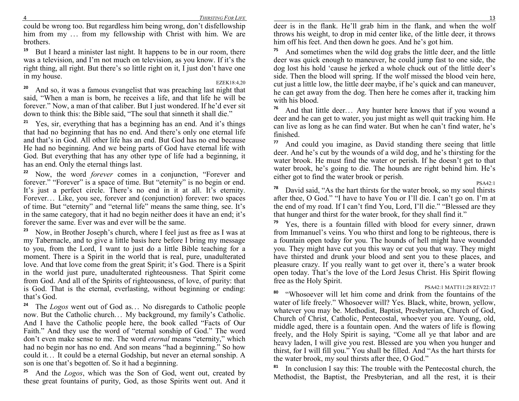**78**

 could be wrong too. But regardless him being wrong, don't disfellowship him from my ... from my fellowship with Christ with him. We are hrothers brothers.

**19** But I heard a minister last night. It happens to be in our room, there was a television, and I'm not much on television, as you know. If it's the right thing, all right. But there's so little right on it, I just don't have one in my house.

EZEK18:4,20 <sup>o</sup> And so, it was a famous evangelist that was preaching last night that **20** said, "When a man is born, he receives a life, and that life he will be forever." Now, a man of that caliber. But I just wondered. If he'd ever sit down to think this: the Bible said, "The soul that sinneth it shall die."

**21** Yes, sir, everything that has a beginning has an end. And it's things that had no beginning that has no end. And there's only one eternal life and that's in God. All other life has an end. But God has no end because He had no beginning. And we being parts of God have eternal life with God. But everything that has any other type of life had a beginning, it has an end. Only the eternal things last.

**22** Now, the word *forever* comes in a conjunction, "Forever and forever." "Forever" is a space of time. But "eternity" is no begin or end. It's just a perfect circle. There's no end in it at all. It's eternity. Forever... Like, you see, forever and (conjunction) forever: two spaces<br>of time, But "eternity" and "eternal life" means the same thing, see, It's of time. But "eternity" and "eternal life" means the same thing, see. It's in the same category, that it had no begin neither does it have an end; it's forever the same. Ever was and ever will be the same.

**23** Now, in Brother Joseph's church, where I feel just as free as I was at my Tabernacle, and to give a little basis here before I bring my message to you, from the Lord, I want to just do a little Bible teaching for a moment. There is a Spirit in the world that is real, pure, unadulterated love. And that love come from the great Spirit; it's God. There is a Spirit in the world just pure, unadulterated righteousness. That Spirit come from God. And all of the Spirits of righteousness, of love, of purity: that is God. That is the eternal, everlasting, without beginning or ending: that's God.

**24** The *Logos* went out of God as. .. No disregards to Catholic people now. But the Catholic church.. . My background, my family's Catholic. And I have the Catholic people here, the book called "Facts of Our Faith." And they use the word of "eternal sonship of God." The word don't even make sense to me. The word *eternal* means "eternity," which had no begin nor has no end. And son means "had a beginning." So how could it... It could be a eternal Godship, but never an eternal sonship. A son is one that's begatten of So it had a beginning son is one that's begotten of. So it had a beginning.

**25** And the *Logos*, which was the Son of God, went out, created by these great fountains of purity, God, as those Spirits went out. And it

 deer is in the flank. He'll grab him in the flank, and when the wolf throws his weight, to drop in mid center like, of the little deer, it throws him off his feet. And then down he goes. And he's got him.

**75** And sometimes when the wild dog grabs the little deer, and the little deer was quick enough to maneuver, he could jump fast to one side, the dog lost his hold 'cause he jerked a whole chuck out of the little deer's side. Then the blood will spring. If the wolf missed the blood vein here, cut just a little low, the little deer maybe, if he's quick and can maneuver, he can get away from the dog. Then here he comes after it, tracking him with his blood.

**76** And that little deer. .. Any hunter here knows that if you wound a deer and he can get to water, you just might as well quit tracking him. He can live as long as he can find water. But when he can't find water, he's finished.

**77** And could you imagine, as David standing there seeing that little deer. And he's cut by the wounds of a wild dog, and he's thirsting for the water brook. He must find the water or perish. If he doesn't get to that water brook, he's going to die. The hounds are right behind him. He's either got to find the water brook or perish.

PSA42:1 <sup>8</sup> David said, "As the hart thirsts for the water brook, so my soul thirsts after thee, O God." "I have to have You or I'll die. I can't go on. I'm at the end of my road. If I can't find You, Lord, I'll die." "Blessed are they that hunger and thirst for the water brook, for they shall find it."

**79** Yes, there is a fountain filled with blood for every sinner, drawn from Immanuel's veins. You who thirst and long to be righteous, there is a fountain open today for you. The hounds of hell might have wounded you. They might have cut you this way or cut you that way. They might have thirsted and drunk your blood and sent you to these places, and pleasure crazy. If you really want to get over it, there's a water brook open today. That's the love of the Lord Jesus Christ. His Spirit flowing free as the Holy Spirit.

#### PSA42:1 MATT11:28 REV22:17

<sup>o</sup> "Whosoever will let him come and drink from the fountains of the **80** water of life freely." Whosoever will? Yes. Black, white, brown, yellow, whatever you may be. Methodist, Baptist, Presbyterian, Church of God, Church of Christ, Catholic, Pentecostal, whoever you are. Young, old, middle aged, there is a fountain open. And the waters of life is flowing freely, and the Holy Spirit is saying, "Come all ye that labor and are heavy laden, I will give you rest. Blessed are you when you hunger and thirst, for I will fill you." You shall be filled. And "As the hart thirsts for the water brook, my soul thirsts after thee, O God."

**81** In conclusion I say this: The trouble with the Pentecostal church, the Methodist, the Baptist, the Presbyterian, and all the rest, it is their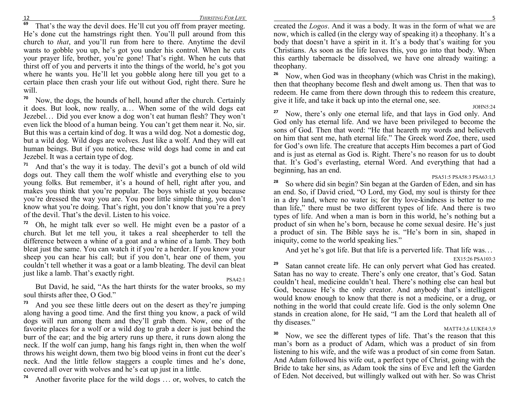12 **69**

<sup>9</sup> That's the way the devil does. He'll cut you off from prayer meeting. He's done cut the hamstrings right then. You'll pull around from this church to *that*, and you'll run from here to there. Anytime the devil wants to gobble you up, he's got you under his control. When he cuts your prayer life, brother, you're gone! That's right. When he cuts that thirst off of you and perverts it into the things of the world, he's got you where he wants you. He'll let you gobble along here till you get to a certain place then crash your life out without God, right there. Sure he will.

**70** Now, the dogs, the hounds of hell, hound after the church. Certainly it does. But look, now really, a... When some of the wild dogs eat levels. Did you ever know a dog won't get human flesh? They won't Jezebel. .. Did you ever know a dog won't eat human flesh? They won't even lick the blood of a human being. You can't get them near it. No, sir. But this was a certain kind of dog. It was a wild dog. Not a domestic dog, but a wild dog. Wild dogs are wolves. Just like a wolf. And they will eat human beings. But if you notice, these wild dogs had come in and eat Jezebel. It was a certain type of dog.

**71** And that's the way it is today. The devil's got a bunch of old wild dogs out. They call them the wolf whistle and everything else to you young folks. But remember, it's a hound of hell, right after you, and makes you think that you're popular. The boys whistle at you because you're dressed the way you are. You poor little simple thing, you don't know what you're doing. That's right, you don't know that you're a prey of the devil. That's the devil. Listen to his voice.

**72** Oh, he might talk ever so well. He might even be a pastor of a church. But let me tell you, it takes a real sheepherder to tell the difference between a whine of a goat and a whine of a lamb. They both bleat just the same. You can watch it if you're a herder. If you know your sheep you can hear his call; but if you don't, hear one of them, you couldn't tell whether it was a goat or a lamb bleating. The devil can bleat just like a lamb. That's exactly right.

#### PSA42:1

 But David, he said, "As the hart thirsts for the water brooks, so my soul thirsts after thee, O God."

**73** And you see these little deers out on the desert as they're jumping along having a good time. And the first thing you know, a pack of wild dogs will run among them and they'll grab them. Now, one of the favorite places for a wolf or a wild dog to grab a deer is just behind the burr of the ear; and the big artery runs up there, it runs down along the neck. If the wolf can jump, hang his fangs right in, then when the wolf throws his weight down, them two big blood veins in front cut the deer's neck. And the little fellow staggers a couple times and he's done, covered all over with wolves and he's eat up just in a little.

**74**Another favorite place for the wild dogs ... or, wolves, to catch the

 created the *Logos*. And it was a body. It was in the form of what we are now, which is called (in the clergy way of speaking it) a theophany. It's a body that doesn't have a spirit in it. It's a body that's waiting for you Christians. As soon as the life leaves this, you go into that body. When this earthly tabernacle be dissolved, we have one already waiting: a theophany.

**26** Now, when God was in theophany (which was Christ in the making), then that theophany become flesh and dwelt among us. Then that was to redeem. He came from there down through this to redeem this creature, give it life, and take it back up into the eternal one, see.

JOHN5:24

<sup>7</sup> Now, there's only one eternal life, and that lays in God only. And **27** God only has eternal life. And we have been privileged to become the sons of God. Then that word: "He that heareth my words and believeth on him that sent me, hath eternal life." The Greek word Zoe, there, used for God's own life. The creature that accepts Him becomes a part of God and is just as eternal as God is. Right. There's no reason for us to doubt that. It's God's everlasting, eternal Word. And everything that had a beginning, has an end.

#### PSA51:5 PSA58:3 PSA63:1,3

<sup>8</sup> So where did sin begin? Sin began at the Garden of Eden, and sin has **28** an end. So, if David cried, "O Lord, my God, my soul is thirsty for thee in a dry land, where no water is; for thy love-kindness is better to me than life," there must be two different types of life. And there is two types of life. And when a man is born in this world, he's nothing but a product of sin when he's born, because he come sexual desire. He's just a product of sin. The Bible says he is. "He's born in sin, shaped in iniquity, come to the world speaking lies."

And yet he's got life. But that life is a perverted life. That life was...

EX15:26 PSA103:3

<sup>9</sup> Satan cannot create life. He can only pervert what God has created. **29** Satan has no way to create. There's only one creator, that's God. Satan couldn't heal, medicine couldn't heal. There's nothing else can heal but God, because He's the only creator. And anybody that's intelligent would know enough to know that there is not a medicine, or a drug, or nothing in the world that could create life. God is the only solemn One stands in creation alone, for He said, "I am the Lord that healeth all of thy diseases."

#### MATT4:3,6 LUKE4:3,9

<sup>o</sup> Now, we see the different types of life. That's the reason that this **30** man's born as a product of Adam, which was a product of sin from listening to his wife, and the wife was a product of sin come from Satan. And Adam followed his wife out, a perfect type of Christ, going with the Bride to take her sins, as Adam took the sins of Eve and left the Garden of Eden. Not deceived, but willingly walked out with her. So was Christ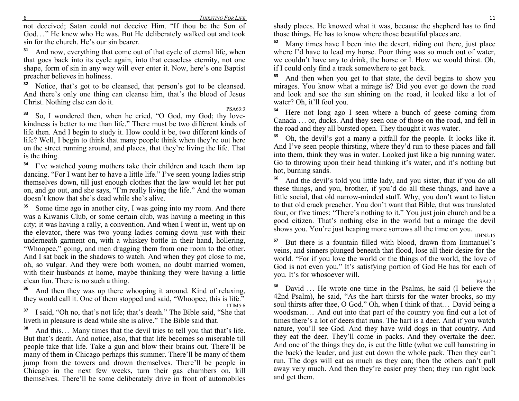6 *THIRSTIG FOR LIFE*

 not deceived; Satan could not deceive Him. "If thou be the Son of God..." He knew who He was. But He deliberately walked out and took sin for the church He's our sin begrer. sin for the church. He's our sin bearer.

**31** And now, everything that come out of that cycle of eternal life, when that goes back into its cycle again, into that ceaseless eternity, not one shape, form of sin in any way will ever enter it. Now, here's one Baptist preacher believes in holiness.

**32** Notice, that's got to be cleansed, that person's got to be cleansed. And there's only one thing can cleanse him, that's the blood of Jesus Christ. Nothing else can do it.

<sup>3</sup> So, I wondered then, when he cried, "O God, my God; thy love-**33**kindness is better to me than life." There must be two different kinds of life then. And I begin to study it. How could it be, two different kinds of life? Well, I begin to think that many people think when they're out here on the street running around, and places, that they're living the life. That is the thing.

<sup>34</sup> I've watched young mothers take their children and teach them tap dancing. "For I want her to have a little life." I've seen young ladies strip themselves down, till just enough clothes that the law would let her put on, and go out, and she says, "I'm really living the life." And the woman doesn't know that she's dead while she's alive.

**35** Some time ago in another city, I was going into my room. And there was a Kiwanis Club, or some certain club, was having a meeting in this city; it was having a rally, a convention. And when I went in, went up on the elevator, there was two young ladies coming down just with their underneath garment on, with a whiskey bottle in their hand, hollering, "Whoopee," going, and men dragging them from one room to the other. And I sat back in the shadows to watch. And when they got close to me, oh, so vulgar. And they were both women, no doubt married women, with their husbands at home, maybe thinking they were having a little clean fun. There is no such a thing.

**36** And then they was up there whooping it around. Kind of relaxing, they would call it. One of them stopped and said, "Whoopee, this is life." 1TIM5:6

<sup>7</sup> I said, "Oh no, that's not life; that's death." The Bible said, "She that **37**liveth in pleasure is dead while she is alive." The Bible said that.

**38** And this.. . Many times that the devil tries to tell you that that's life. But that's death. And notice, also, that that life becomes so miserable till people take that life. Take a gun and blow their brains out. There'll be many of them in Chicago perhaps this summer. There'll be many of them jump from the towers and drown themselves. There'll be people in Chicago in the next few weeks, turn their gas chambers on, kill themselves. There'll be some deliberately drive in front of automobiles

 shady places. He knowed what it was, because the shepherd has to find those things. He has to know where those beautiful places are.

**62** Many times have I been into the desert, riding out there, just place where I'd have to lead my horse. Poor thing was so much out of water, we couldn't have any to drink, the horse or I. How we would thirst. Oh, if I could only find a track somewhere to get back.

**63** And then when you get to that state, the devil begins to show you mirages. You know what a mirage is? Did you ever go down the road and look and see the sun shining on the road, it looked like a lot of water? Oh, it'll fool you.

**64** Here not long ago I seen where a bunch of geese coming from Canada ... or, ducks. And they seen one of those on the road, and fell in the road and they all bursted open. They thought it was water the road and they all bursted open. They thought it was water.

**65** Oh, the devil's got a many a pitfall for the people. It looks like it. And I've seen people thirsting, where they'd run to these places and fall into them, think they was in water. Looked just like a big running water. Go to throwing upon their head thinking it's water, and it's nothing but hot, burning sands.

**66** And the devil's told you little lady, and you sister, that if you do all these things, and you, brother, if you'd do all these things, and have a little social, that old narrow-minded stuff. Why, you don't want to listen to that old crack preacher. You don't want that Bible, that was translated four, or five times: "There's nothing to it." You just join church and be a good citizen. That's nothing else in the world but a mirage the devil shows you. You're just heaping more sorrows all the time on you.

 1JHN2:15 <sup>7</sup> But there is a fountain filled with blood, drawn from Immanuel's **67** veins, and sinners plunged beneath that flood, lose all their desire for the world. "For if you love the world or the things of the world, the love of God is not even you." It's satisfying portion of God He has for each of you. It's for whosoever will.

PSA42:1

<sup>8</sup> David ... He wrote one time in the Psalms, he said (I believe the land Bealm), he said "As the hart thirsts for the water brooks, so my **68**42nd Psalm), he said, "As the hart thirsts for the water brooks, so my soul thirsts after thee, O God." Oh, when I think of that... David being a succedent of the country you find out a lot of woodsman.. . And out into that part of the country you find out a lot of times there's a lot of deers that runs. The hart is a deer. And if you watch nature, you'll see God. And they have wild dogs in that country. And they eat the deer. They'll come in packs. And they overtake the deer. And one of the things they do, is cut the little (what we call hamstring in the back) the leader, and just cut down the whole pack. Then they can't run. The dogs will eat as much as they can; then the others can't pull away very much. And then they're easier prey then; they run right back and get them.

PSA63:3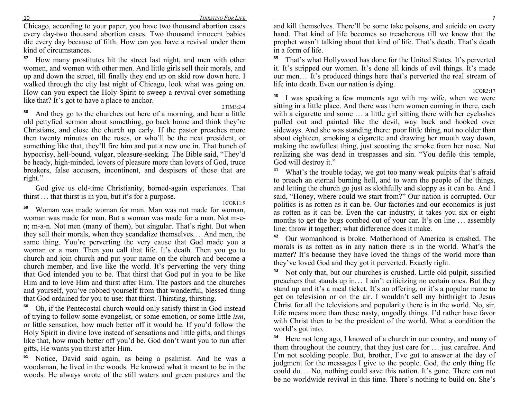Chicago, according to your paper, you have two thousand abortion cases every day-two thousand abortion cases. Two thousand innocent babies die every day because of filth. How can you have a revival under them kind of circumstances.

**57** How many prostitutes hit the street last night, and men with other women, and women with other men. And little girls sell their morals, and up and down the street, till finally they end up on skid row down here. I walked through the city last night of Chicago, look what was going on. How can you expect the Holy Spirit to sweep a revival over something like that? It's got to have a place to anchor.

2TIM3:2-4

<sup>8</sup> And they go to the churches out here of a morning, and hear a little **58** old pettyfied sermon about something, go back home and think they're Christians, and close the church up early. If the pastor preaches more then twenty minutes on the roses, or who'll be the next president, or something like that, they'll fire him and put a new one in. That bunch of hypocrisy, hell-bound, vulgar, pleasure-seeking. The Bible said, "They'd be heady, high-minded, lovers of pleasure more than lovers of God, truce breakers, false accusers, incontinent, and despisers of those that are right."

God give us old-time Christianity, borned-again experiences. That thirst . . . that thirst is in you, but it's for a purpose.

1COR11:9

<sup>9</sup> Woman was made woman for man. Man was not made for woman, **59** woman was made for man. But a woman was made for a man. Not m-en; m-a-n. Not men (many of them), but singular. That's right. But when they sell their morals, when they scandalize themselves... And men, the same thing. You're perverting the very cause that God made you a same thing. You're perverting the very cause that God made you a woman or a man. Then you call that life. It's death. Then you go to church and join church and put your name on the church and become a church member, and live like the world. It's perverting the very thing that God intended you to be. That thirst that God put in you to be like Him and to love Him and thirst after Him. The pastors and the churches and yourself, you've robbed yourself from that wonderful, blessed thing that God ordained for you to use: that thirst. Thirsting, thirsting.

**60** Oh, if the Pentecostal church would only satisfy thirst in God instead of trying to follow some evangelist, or some emotion, or some little *ism*, or little sensation, how much better off it would be. If you'd follow the Holy Spirit in divine love instead of sensations and little gifts, and things like that, how much better off you'd be. God don't want you to run after gifts, He wants you thirst after Him.

**61** Notice, David said again, as being a psalmist. And he was a woodsman, he lived in the woods. He knowed what it meant to be in the woods. He always wrote of the still waters and green pastures and the

 and kill themselves. There'll be some take poisons, and suicide on every hand. That kind of life becomes so treacherous till we know that the prophet wasn't talking about that kind of life. That's death. That's death in a form of life.

**39** That's what Hollywood has done for the United States. It's perverted it. It's stripped our women. It's done all kinds of evil things. It's made our men... It's produced things here that's perverted the real stream of<br>life into death. Even our pation is dying life into death. Even our nation is dying.

1COR3:17 <sup>o</sup> I was speaking a few moments ago with my wife, when we were **40** sitting in a little place. And there was them women coming in there, each with a cigarette and some ... a little girl sitting there with her eyelashes mulled out and pointed like the devil, way back and booked over pulled out and painted like the devil, way back and hooked over sideways. And she was standing there: poor little thing, not no older than about eighteen, smoking a cigarette and drawing her mouth way down, making the awfullest thing, just scooting the smoke from her nose. Not realizing she was dead in trespasses and sin. "You defile this temple, God will destroy it."

**41** What's the trouble today, we got too many weak pulpits that's afraid to preach an eternal burning hell, and to warn the people of the things, and letting the church go just as slothfully and sloppy as it can be. And I said, "Honey, where could we start from?" Our nation is corrupted. Our politics is as rotten as it can be. Our factories and our economics is just as rotten as it can be. Even the car industry, it takes you six or eight months to get the bugs combed out of your car. It's on line ... assembly<br>line: throw it together; what difference does it make line: throw it together; what difference does it make.

**42** Our womanhood is broke. Motherhood of America is crashed. The morals is as rotten as in any nation there is in the world. What's the matter? It's because they have loved the things of the world more than they've loved God and they got it perverted. Exactly right.

**43** Not only that, but our churches is crushed. Little old pulpit, sissified preachers that stands up in... I ain't criticizing no certain ones. But they<br>stand up and it's a meal tigket. It's an offering or it's a popular name to stand up and it's a meal ticket. It's an offering, or it's a popular name to get on television or on the air. I wouldn't sell my birthright to Jesus Christ for all the televisions and popularity there is in the world. No, sir. Life means more than these nasty, ungodly things. I'd rather have favor with Christ then to be the president of the world. What a condition the world's got into.

**44** Here not long ago, I knowed of a church in our country, and many of them throughout the country, that they just care for ... just carefree. And<br>I'm not scolding people. But, brother, I've got to answer at the day of I'm not scolding people. But, brother, I've got to answer at the day of judgment for the messages I give to the people. God, the only thing He could do.. . No, nothing could save this nation. It's gone. There can not be no worldwide revival in this time. There's nothing to build on. She's

10

7